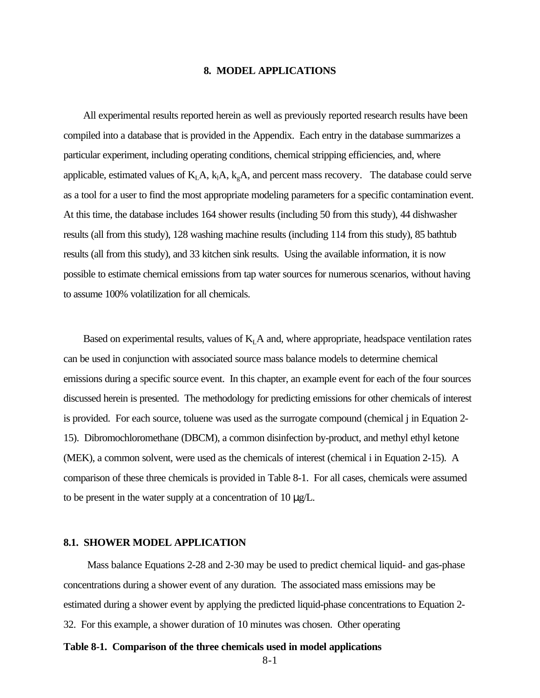#### **8. MODEL APPLICATIONS**

All experimental results reported herein as well as previously reported research results have been compiled into a database that is provided in the Appendix. Each entry in the database summarizes a particular experiment, including operating conditions, chemical stripping efficiencies, and, where applicable, estimated values of  $K<sub>L</sub>A$ ,  $k<sub>L</sub>A$ ,  $k<sub>g</sub>A$ , and percent mass recovery. The database could serve as a tool for a user to find the most appropriate modeling parameters for a specific contamination event. At this time, the database includes 164 shower results (including 50 from this study), 44 dishwasher results (all from this study), 128 washing machine results (including 114 from this study), 85 bathtub results (all from this study), and 33 kitchen sink results. Using the available information, it is now possible to estimate chemical emissions from tap water sources for numerous scenarios, without having to assume 100% volatilization for all chemicals.

Based on experimental results, values of  $K<sub>L</sub>A$  and, where appropriate, headspace ventilation rates can be used in conjunction with associated source mass balance models to determine chemical emissions during a specific source event. In this chapter, an example event for each of the four sources discussed herein is presented. The methodology for predicting emissions for other chemicals of interest is provided. For each source, toluene was used as the surrogate compound (chemical j in Equation 2- 15). Dibromochloromethane (DBCM), a common disinfection by-product, and methyl ethyl ketone (MEK), a common solvent, were used as the chemicals of interest (chemical i in Equation 2-15). A comparison of these three chemicals is provided in Table 8-1. For all cases, chemicals were assumed to be present in the water supply at a concentration of 10 μg/L.

#### **8.1. SHOWER MODEL APPLICATION**

Mass balance Equations 2-28 and 2-30 may be used to predict chemical liquid- and gas-phase concentrations during a shower event of any duration. The associated mass emissions may be estimated during a shower event by applying the predicted liquid-phase concentrations to Equation 2- 32. For this example, a shower duration of 10 minutes was chosen. Other operating

### **Table 8-1. Comparison of the three chemicals used in model applications**

8-1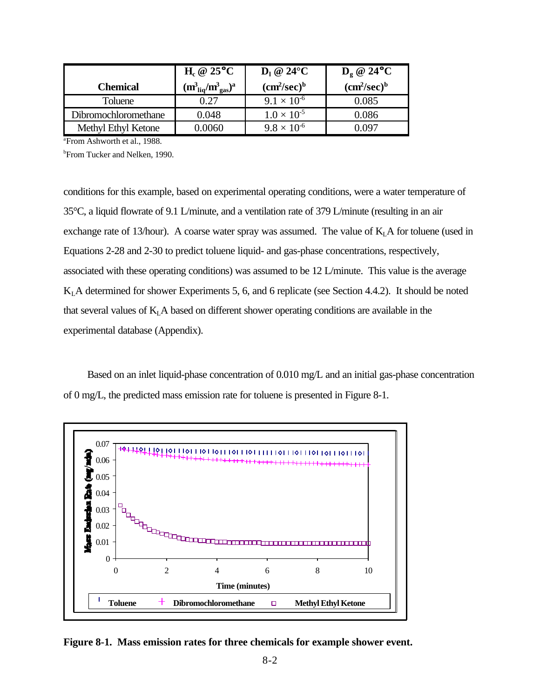|                      | $H_c @ 25°C$                            | $D_1 \otimes 24$ °C                 | $D_{\varrho} \otimes 24^{\circ}C$   |
|----------------------|-----------------------------------------|-------------------------------------|-------------------------------------|
| <b>Chemical</b>      | $(m_{\text{liq}}^3/m_{\text{gas}}^3)^a$ | (cm <sup>2</sup> /sec) <sup>b</sup> | (cm <sup>2</sup> /sec) <sup>b</sup> |
| Toluene              | 0.27                                    | $9.1 \times 10^{-6}$                | 0.085                               |
| Dibromochloromethane | 0.048                                   | $1.0 \times 10^{-5}$                | 0.086                               |
| Methyl Ethyl Ketone  | 0.0060                                  | $9.8 \times 10^{-6}$                | ገ በዓ7                               |

<sup>a</sup>From Ashworth et al., 1988.

**b**From Tucker and Nelken, 1990.

conditions for this example, based on experimental operating conditions, were a water temperature of 35°C, a liquid flowrate of 9.1 L/minute, and a ventilation rate of 379 L/minute (resulting in an air exchange rate of 13/hour). A coarse water spray was assumed. The value of  $K<sub>L</sub>A$  for toluene (used in Equations 2-28 and 2-30 to predict toluene liquid- and gas-phase concentrations, respectively, associated with these operating conditions) was assumed to be 12 L/minute. This value is the average  $K<sub>L</sub>A$  determined for shower Experiments 5, 6, and 6 replicate (see Section 4.4.2). It should be noted that several values of  $K<sub>L</sub>A$  based on different shower operating conditions are available in the experimental database (Appendix).

Based on an inlet liquid-phase concentration of 0.010 mg/L and an initial gas-phase concentration of 0 mg/L, the predicted mass emission rate for toluene is presented in Figure 8-1.



**Figure 8-1. Mass emission rates for three chemicals for example shower event.**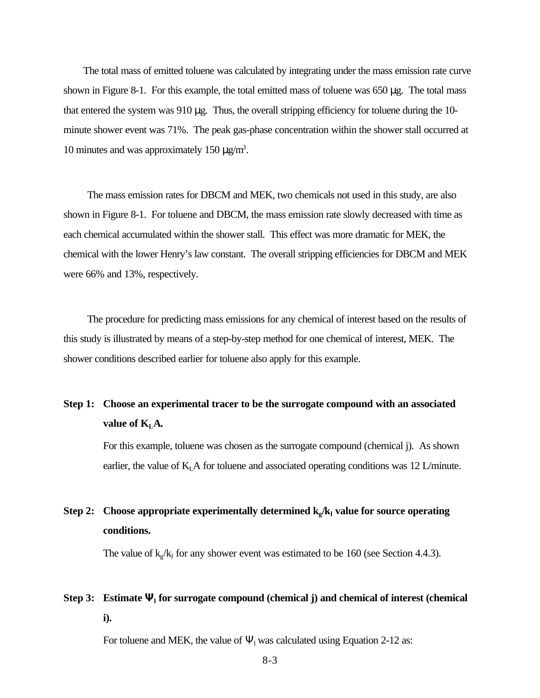The total mass of emitted toluene was calculated by integrating under the mass emission rate curve shown in Figure 8-1. For this example, the total emitted mass of toluene was 650 μg. The total mass that entered the system was 910 μg. Thus, the overall stripping efficiency for toluene during the 10 minute shower event was 71%. The peak gas-phase concentration within the shower stall occurred at 10 minutes and was approximately 150 μg/m<sup>3</sup>.

The mass emission rates for DBCM and MEK, two chemicals not used in this study, are also shown in Figure 8-1. For toluene and DBCM, the mass emission rate slowly decreased with time as each chemical accumulated within the shower stall. This effect was more dramatic for MEK, the chemical with the lower Henry's law constant. The overall stripping efficiencies for DBCM and MEK were 66% and 13%, respectively.

The procedure for predicting mass emissions for any chemical of interest based on the results of this study is illustrated by means of a step-by-step method for one chemical of interest, MEK. The shower conditions described earlier for toluene also apply for this example.

# **Step 1: Choose an experimental tracer to be the surrogate compound with an associated value of**  $K_{L}A$ **.**

For this example, toluene was chosen as the surrogate compound (chemical j). As shown earlier, the value of  $K<sub>L</sub>A$  for toluene and associated operating conditions was 12 L/minute.

# **Step 2: Choose appropriate experimentally determined k<sup>g</sup> /kl value for source operating conditions.**

The value of  $k_g/k_l$  for any shower event was estimated to be 160 (see Section 4.4.3).

# **Step 3: Estimate Y<sup>l</sup> for surrogate compound (chemical j) and chemical of interest (chemical i).**

For toluene and MEK, the value of  $\Psi_1$  was calculated using Equation 2-12 as:

8-3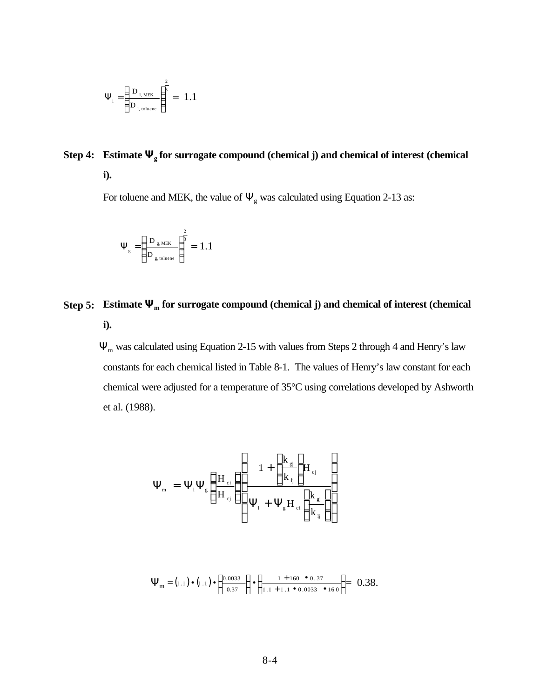$$
\Psi_{1} = \left(\frac{D_{1,\text{ MEK}}}{D_{1,\text{toluene}}}\right)^{\frac{2}{3}} = 1.1
$$

# **Step 4: Estimate Yg for surrogate compound (chemical j) and chemical of interest (chemical i).**

For toluene and MEK, the value of  $\Psi_{g}$  was calculated using Equation 2-13 as:

$$
\Psi_{\rm g}=\left(\frac{D_{\rm g,\,MEK}}{D_{\rm g,\,toluene}}\right)^{\!\!\!\frac{2}{3}}=~1.1
$$

# **Step 5: Estimate**  $\mathbf{Y}_m$  **for surrogate compound (chemical j) and chemical of interest (chemical i).**

Ψm was calculated using Equation 2-15 with values from Steps 2 through 4 and Henry's law constants for each chemical listed in Table 8-1. The values of Henry's law constant for each chemical were adjusted for a temperature of 35°C using correlations developed by Ashworth et al. (1988).

$$
\Psi_{\rm m} = \Psi_{\rm l} \Psi_{\rm g} \left\{ \frac{\rm H_{\rm cl}}{\rm H_{\rm ej}} \right\} \left\{ \frac{1 + \left[ \frac{\rm k_{\rm gj}}{\rm k_{\rm l}} \right] \rm H_{\rm cl}}{\Psi_{\rm l} + \Psi_{\rm g} \rm H_{\rm cl} \left[ \frac{\rm k_{\rm gj}}{\rm k_{\rm l} \overline{\rm l}} \right]} \right\}
$$

$$
\Psi_{\rm m} = (1.1) \cdot (1.1) \cdot \left\{ \frac{0.0033}{0.37} \right\} \cdot \left\{ \frac{1 + 160 \cdot 0.37}{1.1 + 1.1 \cdot 0.0033 \cdot 160} \right\} = 0.38.
$$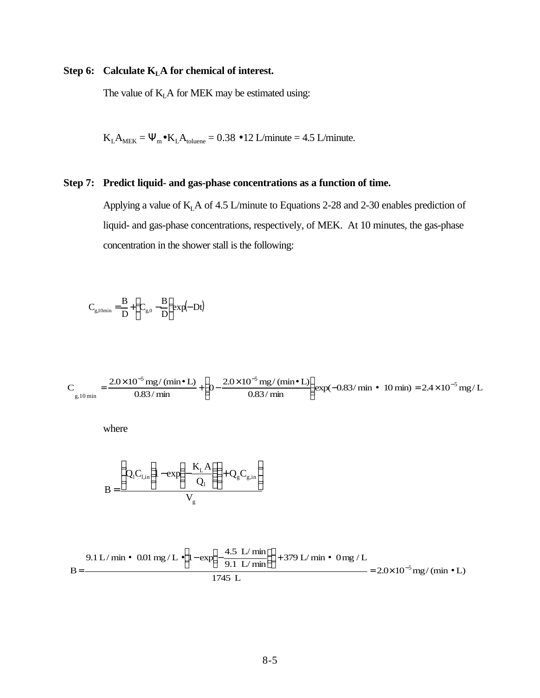## **Step 6: Calculate KLA for chemical of interest.**

The value of  $K<sub>L</sub>A$  for MEK may be estimated using:

 $K_L A_{MEK} = \Psi_m \bullet K_L A_{toluene} = 0.38 \bullet 12$  L/minute = 4.5 L/minute.

## **Step 7: Predict liquid- and gas-phase concentrations as a function of time.**

Applying a value of  $K<sub>L</sub>A$  of 4.5 L/minute to Equations 2-28 and 2-30 enables prediction of liquid- and gas-phase concentrations, respectively, of MEK. At 10 minutes, the gas-phase concentration in the shower stall is the following:

$$
C_{g,10min} = \frac{B}{D} + \left(C_{g,0} - \frac{B}{D}\right) exp(-Dt)
$$

$$
C_{\text{g,10 min}} = \frac{2.0 \times 10^{-5} \text{ mg/(min} \cdot \text{L})}{0.83 / \text{min}} + \left(0 - \frac{2.0 \times 10^{-5} \text{ mg/(min} \cdot \text{L})}{0.83 / \text{min}}\right) \exp(-0.83 / \text{min} \cdot 10 \text{ min}) = 2.4 \times 10^{-5} \text{ mg/L}
$$

where

$$
B = \frac{\left(Q_1C_{1,in}\left(1 - \exp\left(-\frac{K_LA}{Q_1}\right)\right) + Q_gC_{g,in}\right)}{V_g}
$$

9.1 L/min • 0.01 mg/L • 
$$
\left(1 - \exp\left(-\frac{4.5 \text{ L/min}}{9.1 \text{ L/min}}\right)\right) + 379 \text{ L/min} \cdot 0 \text{ mg/L}
$$
  
= 2.0×10<sup>-5</sup> mg/(min • L)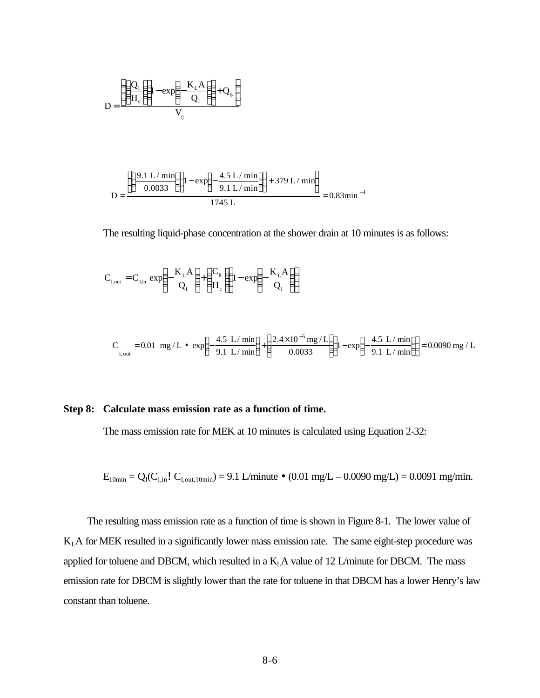$$
D = \frac{\left(\left(\frac{Q_{1}}{H_{c}}\right)\left(1 - \exp\left(-\frac{K_{L}A}{Q_{1}}\right)\right) + Q_{g}}{V_{g}}
$$

$$
D = \frac{\left( \left( \frac{9.1 \text{ L} / \text{min}}{0.0033} \right) \left( 1 - \exp\left( -\frac{4.5 \text{ L} / \text{min}}{9.1 \text{ L} / \text{min}} \right) \right) + 379 \text{ L} / \text{min} \right)}{1745 \text{ L}} = 0.83 \text{min}^{-1}
$$

The resulting liquid-phase concentration at the shower drain at 10 minutes is as follows:

$$
C_{1,out} = C_{1,in} exp\left(-\frac{K_{L}A}{Q_{l}}\right) + \left(\frac{C_{g}}{H_{c}}\right)1 - exp\left(-\frac{K_{L}A}{Q_{l}}\right)
$$

$$
C_{1, out} = 0.01 mg/L \bullet exp\left(-\frac{4.5 L/min}{9.1 L/min}\right) + \left(\frac{2.4 \times 10^{-5} mg/L}{0.0033}\right) \left(1 - exp\left(-\frac{4.5 L/min}{9.1 L/min}\right)\right) = 0.0090 mg/L
$$

### **Step 8: Calculate mass emission rate as a function of time.**

The mass emission rate for MEK at 10 minutes is calculated using Equation 2-32:

 $E_{10min} = Q_1(C_{1,in}! C_{1,out,10min}) = 9.1$  L/minute • (0.01 mg/L – 0.0090 mg/L) = 0.0091 mg/min.

The resulting mass emission rate as a function of time is shown in Figure 8-1. The lower value of  $K<sub>L</sub>A$  for MEK resulted in a significantly lower mass emission rate. The same eight-step procedure was applied for toluene and DBCM, which resulted in a  $K<sub>L</sub>A$  value of 12 L/minute for DBCM. The mass emission rate for DBCM is slightly lower than the rate for toluene in that DBCM has a lower Henry's law constant than toluene.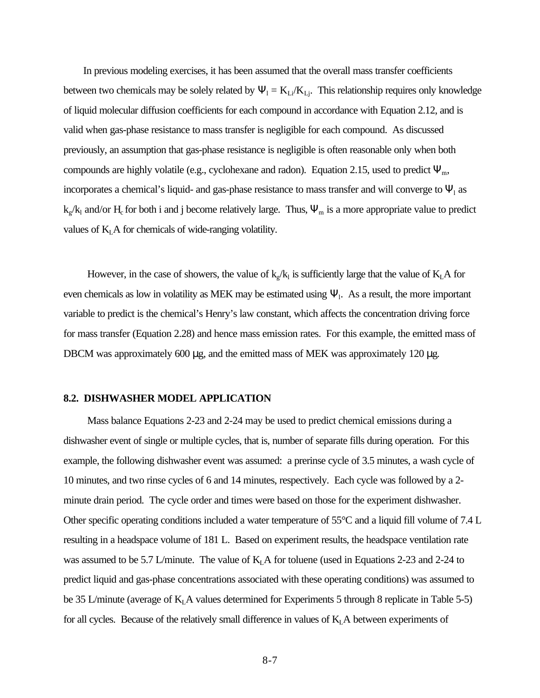In previous modeling exercises, it has been assumed that the overall mass transfer coefficients between two chemicals may be solely related by  $\Psi_1 = K_{Li}/K_{Lj}$ . This relationship requires only knowledge of liquid molecular diffusion coefficients for each compound in accordance with Equation 2.12, and is valid when gas-phase resistance to mass transfer is negligible for each compound. As discussed previously, an assumption that gas-phase resistance is negligible is often reasonable only when both compounds are highly volatile (e.g., cyclohexane and radon). Equation 2.15, used to predict  $\Psi_{m}$ , incorporates a chemical's liquid- and gas-phase resistance to mass transfer and will converge to  $\Psi_1$  as  $k_g/k_l$  and/or  $H_c$  for both i and j become relatively large. Thus,  $\Psi_m$  is a more appropriate value to predict values of  $K<sub>L</sub>$  A for chemicals of wide-ranging volatility.

However, in the case of showers, the value of  $k_g/k_i$  is sufficiently large that the value of  $K_L A$  for even chemicals as low in volatility as MEK may be estimated using  $\Psi$ <sub>1</sub>. As a result, the more important variable to predict is the chemical's Henry's law constant, which affects the concentration driving force for mass transfer (Equation 2.28) and hence mass emission rates. For this example, the emitted mass of DBCM was approximately 600 μg, and the emitted mass of MEK was approximately 120 μg.

#### **8.2. DISHWASHER MODEL APPLICATION**

Mass balance Equations 2-23 and 2-24 may be used to predict chemical emissions during a dishwasher event of single or multiple cycles, that is, number of separate fills during operation. For this example, the following dishwasher event was assumed: a prerinse cycle of 3.5 minutes, a wash cycle of 10 minutes, and two rinse cycles of 6 and 14 minutes, respectively. Each cycle was followed by a 2 minute drain period. The cycle order and times were based on those for the experiment dishwasher. Other specific operating conditions included a water temperature of 55°C and a liquid fill volume of 7.4 L resulting in a headspace volume of 181 L. Based on experiment results, the headspace ventilation rate was assumed to be 5.7 L/minute. The value of  $K<sub>L</sub>A$  for toluene (used in Equations 2-23 and 2-24 to predict liquid and gas-phase concentrations associated with these operating conditions) was assumed to be 35 L/minute (average of  $K<sub>L</sub>A$  values determined for Experiments 5 through 8 replicate in Table 5-5) for all cycles. Because of the relatively small difference in values of  $K<sub>L</sub>A$  between experiments of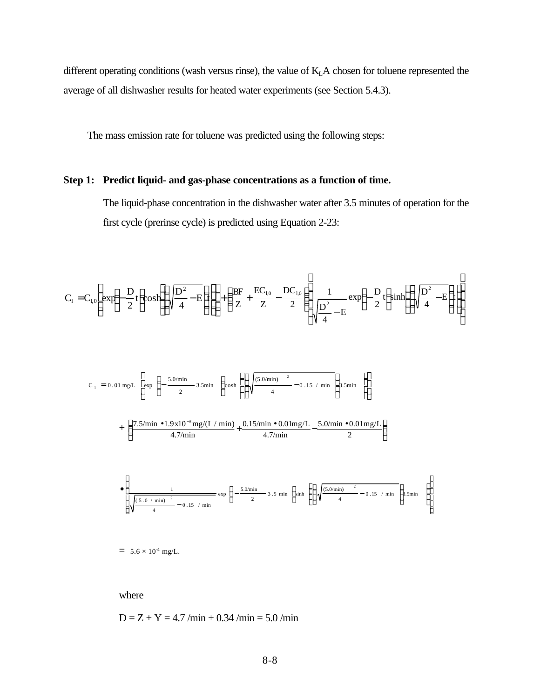different operating conditions (wash versus rinse), the value of K<sub>L</sub>A chosen for toluene represented the average of all dishwasher results for heated water experiments (see Section 5.4.3).

The mass emission rate for toluene was predicted using the following steps:

## **Step 1: Predict liquid- and gas-phase concentrations as a function of time.**

The liquid-phase concentration in the dishwasher water after 3.5 minutes of operation for the first cycle (prerinse cycle) is predicted using Equation 2-23:

$$
C_1 = C_{1,0} \left[ exp\left(-\frac{D}{2}t \right) cosh\left(\left(\sqrt{\frac{D^2}{4} - E}\right)\right) \right] + \left(\frac{BF}{Z} + \frac{EC_{1,0}}{Z} - \frac{DC_{1,0}}{2}\right) \frac{1}{\sqrt{\frac{D^2}{4} - E}} exp\left(-\frac{D}{2}t \right) sinh\left(\left(\sqrt{\frac{D^2}{4} - E}\right)t\right)
$$

$$
C_{1} = 0.01 \text{ mg/L} \left[ \exp \left( -\frac{5.0/\text{min}}{2} 3.5 \text{min} \right) \cosh \left( \left( \sqrt{\frac{(5.0/\text{min})^{2}}{4} - 0.15 / \text{min}} \right) 3.5 \text{min} \right) \right]
$$

$$
+\left(\frac{7.5/{\rm min}\bullet 1.9{\rm x}10^{-3}{\rm mg}/(L/{\rm min})}{4.7/{\rm min}}+\frac{0.15/{\rm min}\bullet 0.01{\rm mg}/L}{4.7/{\rm min}}-\frac{5.0/{\rm min}\bullet 0.01{\rm mg}/L}{2}\right)
$$

$$
\left(\sqrt{\frac{5.0 \text{ / min }^{2}}{4} - 0.15 \text{ / min}} - \frac{1}{4} \exp\left(-\frac{5.0 \text{ / min}}{2} - 3.5 \text{ min}\right) \sinh\left(\left(\sqrt{\frac{(5.0 \text{ / min})}{4} - 0.15 \text{ / min}}\right)\right) 5.5 \text{ min}\right)\right)
$$

 $= 5.6 \times 10^{4}$  mg/L.

where

 $\overline{a}$ 

 $D = Z + Y = 4.7 /min + 0.34 /min = 5.0 /min$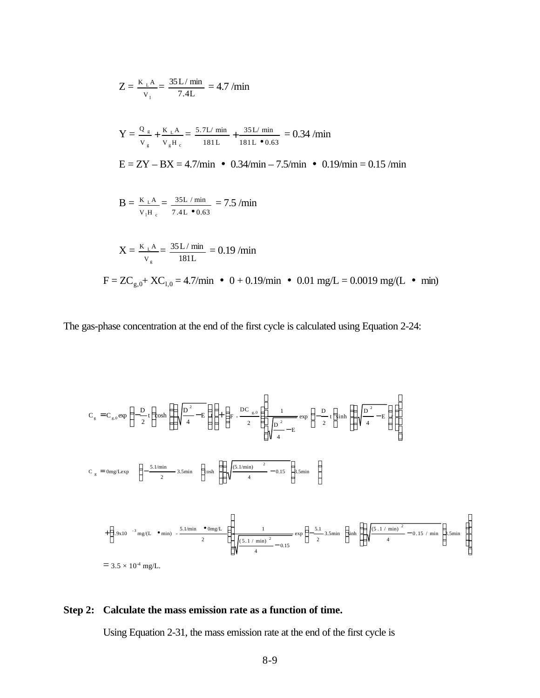$$
Z = \frac{K_{\perp}A}{V_1} = \frac{35L/\text{ min}}{7.4L} = 4.7/\text{min}
$$
  
\n
$$
Y = \frac{Q_{\text{g}}}{V_{\text{g}}} + \frac{K_{\perp}A}{V_{\text{g}}H_{\text{c}}} = \frac{5.7L/\text{ min}}{181L} + \frac{35L/\text{ min}}{181L \cdot 0.63} = 0.34/\text{min}
$$
  
\n
$$
E = ZY - BX = 4.7/\text{min} \cdot 0.34/\text{min} - 7.5/\text{min} \cdot 0.19/\text{min} = 0.15/\text{min}
$$
  
\n
$$
B = \frac{K_{\perp}A}{V_{\text{1}}H_{\text{c}}} = \frac{35L/\text{min}}{7.4L \cdot 0.63} = 7.5/\text{min}
$$
  
\n
$$
X = \frac{K_{\perp}A}{V_{\text{g}}} = \frac{35L/\text{min}}{181L} = 0.19/\text{min}
$$
  
\n
$$
F = ZC_{\text{g},0} + XC_{1,0} = 4.7/\text{min} \cdot 0 + 0.19/\text{min} \cdot 0.01 \text{ mg/L} = 0.0019 \text{ mg/(L} \cdot \text{min})
$$

The gas-phase concentration at the end of the first cycle is calculated using Equation 2-24:

$$
C_{g} = C_{g,0} \exp\left(-\frac{D}{2}t\right) \cosh\left(\left(\sqrt{\frac{D^{2}-E}{4}}-E\right)\right) + \left(F - \frac{DC_{g,0}}{2}\right) \frac{1}{\sqrt{\frac{D^{2}-E}{4}}-E} \exp\left(-\frac{D}{2}t\right) \sinh\left(\left(\sqrt{\frac{D^{2}-E}{4}}-E\right)\right)\right)
$$
  

$$
C_{g} = \text{Omg}/\text{Lexp}\left(-\frac{5.1/\text{min}}{2} - 3.5\text{min}\right) \cosh\left(\left(\sqrt{\frac{(5.1/\text{min})^{2}-0.15}{4}}-0.15\right) 3.5\text{min}\right)
$$
  

$$
+ \left(1.9 \times 10^{-3} \text{ mg}/\text{L} \cdot \text{min} - \frac{5.1/\text{min} \cdot \text{Omg}/\text{L}}{2}\right) \frac{1}{\sqrt{\frac{(5.1/\text{min})^{2}-0.15}{4}} \exp\left(-\frac{5.1}{2}3.5\text{min}\right) \sinh\left(\left(\sqrt{\frac{(5.1/\text{min})^{2}-0.15}{4}}-0.15/\text{min}\right) 3.5\text{min}\right)
$$
  

$$
= 3.5 \times 10^{4} \text{ mg/L}.
$$

## **Step 2: Calculate the mass emission rate as a function of time.**

Using Equation 2-31, the mass emission rate at the end of the first cycle is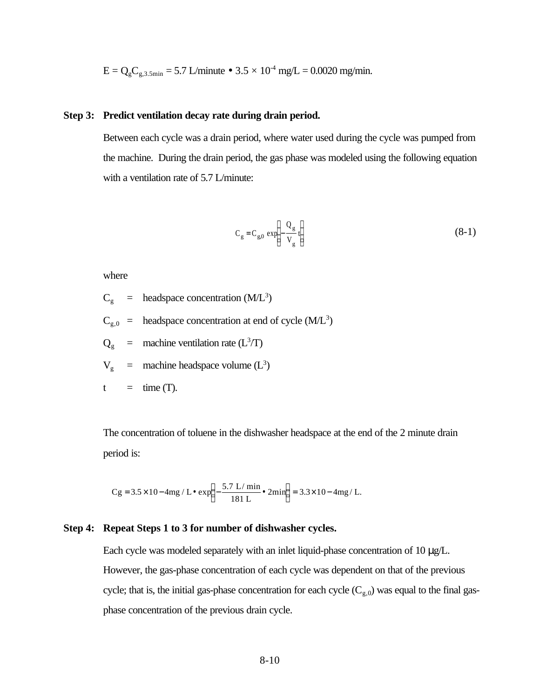$E = Q_g C_{g,3.5\text{min}} = 5.7$  L/minute • 3.5  $\times$  10<sup>-4</sup> mg/L = 0.0020 mg/min.

### **Step 3: Predict ventilation decay rate during drain period.**

Between each cycle was a drain period, where water used during the cycle was pumped from the machine. During the drain period, the gas phase was modeled using the following equation with a ventilation rate of 5.7 L/minute:

$$
C_g = C_{g,0} \exp\left(-\frac{Q_g}{V_g}t\right) \tag{8-1}
$$

where

- $C_g$  = headspace concentration (M/L<sup>3</sup>)
- $C_{g,0}$  = headspace concentration at end of cycle (M/L<sup>3</sup>)

 $Q_g$  = machine ventilation rate (L<sup>3</sup>/T)

 $V_g$  = machine headspace volume (L<sup>3</sup>)

$$
t = \text{time (T)}.
$$

The concentration of toluene in the dishwasher headspace at the end of the 2 minute drain period is:

Cg = 
$$
3.5 \times 10 - 4mg / L \cdot exp \left(-\frac{5.7 L / min}{181 L} \cdot 2min\right) = 3.3 \times 10 - 4mg / L.
$$

### **Step 4: Repeat Steps 1 to 3 for number of dishwasher cycles.**

Each cycle was modeled separately with an inlet liquid-phase concentration of 10 μg/L. However, the gas-phase concentration of each cycle was dependent on that of the previous cycle; that is, the initial gas-phase concentration for each cycle  $(C_{g,0})$  was equal to the final gasphase concentration of the previous drain cycle.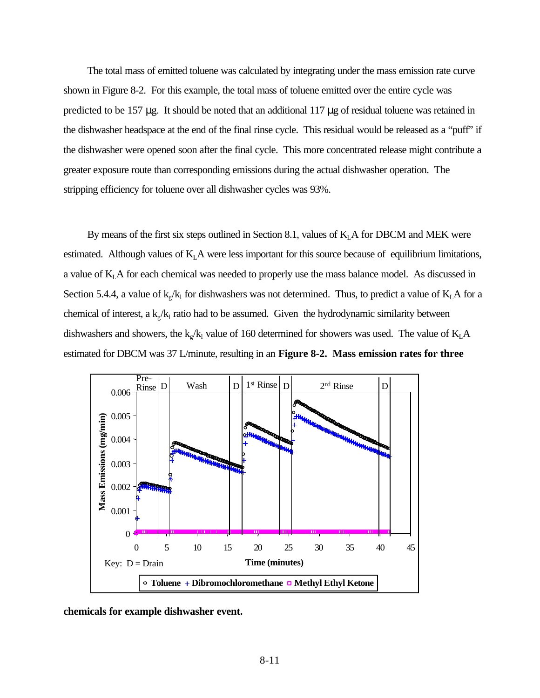The total mass of emitted toluene was calculated by integrating under the mass emission rate curve shown in Figure 8-2. For this example, the total mass of toluene emitted over the entire cycle was predicted to be 157 μg. It should be noted that an additional 117 μg of residual toluene was retained in the dishwasher headspace at the end of the final rinse cycle. This residual would be released as a "puff" if the dishwasher were opened soon after the final cycle. This more concentrated release might contribute a greater exposure route than corresponding emissions during the actual dishwasher operation. The stripping efficiency for toluene over all dishwasher cycles was 93%.

By means of the first six steps outlined in Section 8.1, values of  $K<sub>L</sub>A$  for DBCM and MEK were estimated. Although values of  $K<sub>L</sub>A$  were less important for this source because of equilibrium limitations, a value of  $K<sub>L</sub>A$  for each chemical was needed to properly use the mass balance model. As discussed in Section 5.4.4, a value of  $k_g/k_l$  for dishwashers was not determined. Thus, to predict a value of  $K_L A$  for a chemical of interest, a  $k_g/k_l$  ratio had to be assumed. Given the hydrodynamic similarity between dishwashers and showers, the  $k_g / k_l$  value of 160 determined for showers was used. The value of  $K_L A$ estimated for DBCM was 37 L/minute, resulting in an **Figure 8-2. Mass emission rates for three**



**chemicals for example dishwasher event.**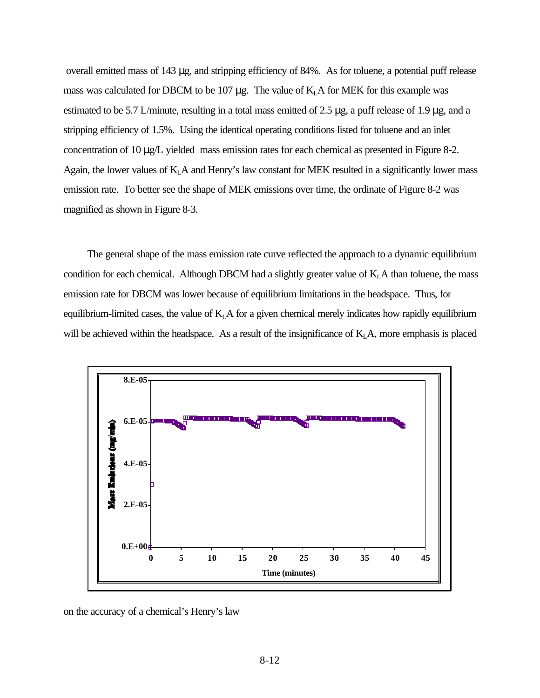overall emitted mass of 143 μg, and stripping efficiency of 84%. As for toluene, a potential puff release mass was calculated for DBCM to be 107  $\mu$ g. The value of  $K<sub>L</sub>A$  for MEK for this example was estimated to be 5.7 L/minute, resulting in a total mass emitted of 2.5 μg, a puff release of 1.9 μg, and a stripping efficiency of 1.5%. Using the identical operating conditions listed for toluene and an inlet concentration of 10 μg/L yielded mass emission rates for each chemical as presented in Figure 8-2. Again, the lower values of  $K<sub>L</sub>A$  and Henry's law constant for MEK resulted in a significantly lower mass emission rate. To better see the shape of MEK emissions over time, the ordinate of Figure 8-2 was magnified as shown in Figure 8-3.

The general shape of the mass emission rate curve reflected the approach to a dynamic equilibrium condition for each chemical. Although DBCM had a slightly greater value of  $K<sub>L</sub>A$  than toluene, the mass emission rate for DBCM was lower because of equilibrium limitations in the headspace. Thus, for equilibrium-limited cases, the value of  $K<sub>L</sub>A$  for a given chemical merely indicates how rapidly equilibrium will be achieved within the headspace. As a result of the insignificance of  $K<sub>L</sub>A$ , more emphasis is placed



on the accuracy of a chemical's Henry's law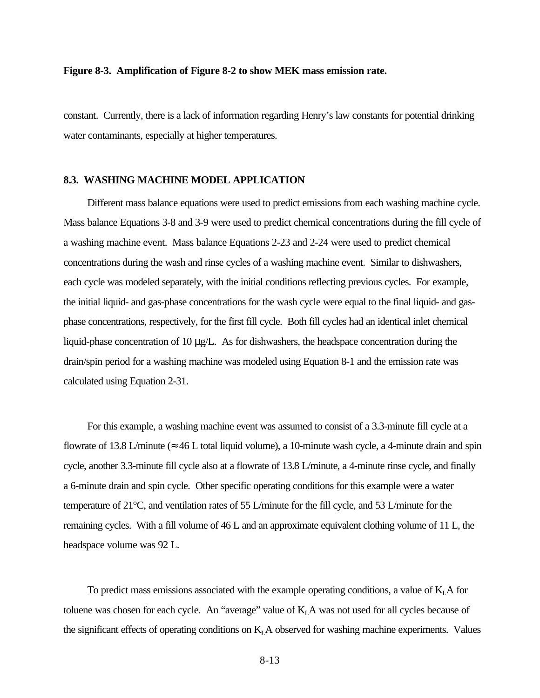#### **Figure 8-3. Amplification of Figure 8-2 to show MEK mass emission rate.**

constant. Currently, there is a lack of information regarding Henry's law constants for potential drinking water contaminants, especially at higher temperatures.

#### **8.3. WASHING MACHINE MODEL APPLICATION**

Different mass balance equations were used to predict emissions from each washing machine cycle. Mass balance Equations 3-8 and 3-9 were used to predict chemical concentrations during the fill cycle of a washing machine event. Mass balance Equations 2-23 and 2-24 were used to predict chemical concentrations during the wash and rinse cycles of a washing machine event. Similar to dishwashers, each cycle was modeled separately, with the initial conditions reflecting previous cycles. For example, the initial liquid- and gas-phase concentrations for the wash cycle were equal to the final liquid- and gasphase concentrations, respectively, for the first fill cycle. Both fill cycles had an identical inlet chemical liquid-phase concentration of 10 μg/L. As for dishwashers, the headspace concentration during the drain/spin period for a washing machine was modeled using Equation 8-1 and the emission rate was calculated using Equation 2-31.

For this example, a washing machine event was assumed to consist of a 3.3-minute fill cycle at a flowrate of 13.8 L/minute ( $\approx$  46 L total liquid volume), a 10-minute wash cycle, a 4-minute drain and spin cycle, another 3.3-minute fill cycle also at a flowrate of 13.8 L/minute, a 4-minute rinse cycle, and finally a 6-minute drain and spin cycle. Other specific operating conditions for this example were a water temperature of 21°C, and ventilation rates of 55 L/minute for the fill cycle, and 53 L/minute for the remaining cycles. With a fill volume of 46 L and an approximate equivalent clothing volume of 11 L, the headspace volume was 92 L.

To predict mass emissions associated with the example operating conditions, a value of  $K<sub>L</sub>A$  for toluene was chosen for each cycle. An "average" value of  $K<sub>L</sub>A$  was not used for all cycles because of the significant effects of operating conditions on  $K<sub>L</sub>A$  observed for washing machine experiments. Values

8-13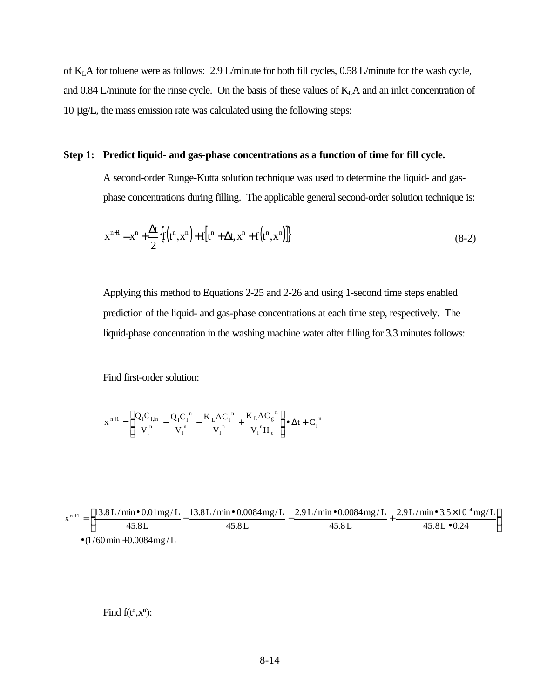of KLA for toluene were as follows: 2.9 L/minute for both fill cycles, 0.58 L/minute for the wash cycle, and 0.84 L/minute for the rinse cycle. On the basis of these values of  $K<sub>L</sub>A$  and an inlet concentration of 10 μg/L, the mass emission rate was calculated using the following steps:

#### **Step 1: Predict liquid- and gas-phase concentrations as a function of time for fill cycle.**

A second-order Runge-Kutta solution technique was used to determine the liquid- and gasphase concentrations during filling. The applicable general second-order solution technique is:

$$
x^{n+1} = x^n + \frac{\Delta t}{2} \{ f(t^n, x^n) + f(t^n + \Delta t, x^n + f(t^n, x^n) ) \}
$$
\n(8-2)

Applying this method to Equations 2-25 and 2-26 and using 1-second time steps enabled prediction of the liquid- and gas-phase concentrations at each time step, respectively. The liquid-phase concentration in the washing machine water after filling for 3.3 minutes follows:

Find first-order solution:

$$
x^{n+1} = \left[ \frac{Q_1 C_{1,in}}{V_1^{n}} - \frac{Q_1 C_1^{n}}{V_1^{n}} - \frac{K_L A C_1^{n}}{V_1^{n}} + \frac{K_L A C_g^{n}}{V_1^{n} H_c} \right] \bullet \Delta t + C_1^{n}
$$

$$
x^{n+1} = \left[ \frac{13.8 \text{ L/min} \cdot 0.01 \text{mg/L}}{45.8 \text{ L}} - \frac{13.8 \text{ L/min} \cdot 0.0084 \text{mg/L}}{45.8 \text{ L}} - \frac{2.9 \text{ L/min} \cdot 0.0084 \text{mg/L}}{45.8 \text{ L}} + \frac{2.9 \text{ L/min} \cdot 3.5 \times 10^{-4} \text{mg/L}}{45.8 \text{ L} \cdot 0.24} \right]
$$
  
•  $(1/60 \text{ min} + 0.0084 \text{ mg/L})$ 

Find  $f(t^n, x^n)$ :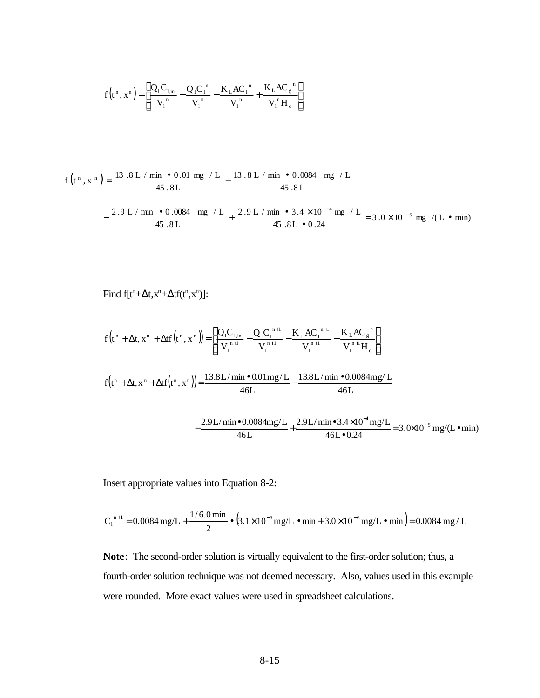$$
f(t^n, x^n) = \left[ \frac{Q_1 C_{1,in}}{V_1^{n}} - \frac{Q_1 C_1^{n}}{V_1^{n}} - \frac{K_L A C_1^{n}}{V_1^{n}} + \frac{K_L A C_g^{n}}{V_1^{n} H_c} \right]
$$

$$
f(t^{n}, x^{n}) = \frac{13.8 \text{ L} / \text{min} \cdot 0.01 \text{ mg} / \text{ L}}{45.8 \text{ L}} - \frac{13.8 \text{ L} / \text{min} \cdot 0.0084 \text{ mg} / \text{ L}}{45.8 \text{ L}}
$$

$$
-\frac{2.9 \text{ L} / \text{min} \cdot 0.0084 \text{ mg} / \text{ L}}{45.8 \text{ L}} + \frac{2.9 \text{ L} / \text{min} \cdot 3.4 \times 10^{-4} \text{ mg} / \text{ L}}{45.8 \text{ L} \cdot 0.24} = 3.0 \times 10^{-5} \text{ mg} / (\text{ L} \cdot \text{min})
$$

Find 
$$
f[t^n + \Delta t, x^n + \Delta t f(t^n, x^n)]
$$
:

$$
f(t^{n} + \Delta t, x^{n} + \Delta t f(t^{n}, x^{n})) = \left[ \frac{Q_{1}C_{1,in}}{V_{1}^{n+1}} - \frac{Q_{1}C_{1}^{n+1}}{V_{1}^{n+1}} - \frac{K_{L}AC_{1}^{n+1}}{V_{1}^{n+1}} + \frac{K_{L}AC_{g}^{n}}{V_{1}^{n+1}H_{c}} \right]
$$

$$
f(t^n + \Delta t, x^n + \Delta t f(t^n, x^n)) = \frac{13.8 L / \min \cdot 0.01 mg/L}{46 L} - \frac{13.8 L / \min \cdot 0.0084 mg/L}{46 L}
$$

$$
-\frac{2.9 \text{ L/min} \cdot 0.0084 \text{mg/L}}{46 \text{ L}} + \frac{2.9 \text{ L/min} \cdot 3.4 \times 10^{-4} \text{mg/L}}{46 \text{ L} \cdot 0.24} = 3.0 \times 10^{-5} \text{ mg/(L} \cdot \text{min)}
$$

Insert appropriate values into Equation 8-2:

$$
C_1^{n+1} = 0.0084 \text{ mg/L} + \frac{1/6.0 \text{ min}}{2} \cdot (3.1 \times 10^{-5} \text{ mg/L} \cdot \text{min} + 3.0 \times 10^{-5} \text{ mg/L} \cdot \text{min}) = 0.0084 \text{ mg/L}
$$

**Note**: The second-order solution is virtually equivalent to the first-order solution; thus, a fourth-order solution technique was not deemed necessary. Also, values used in this example were rounded. More exact values were used in spreadsheet calculations.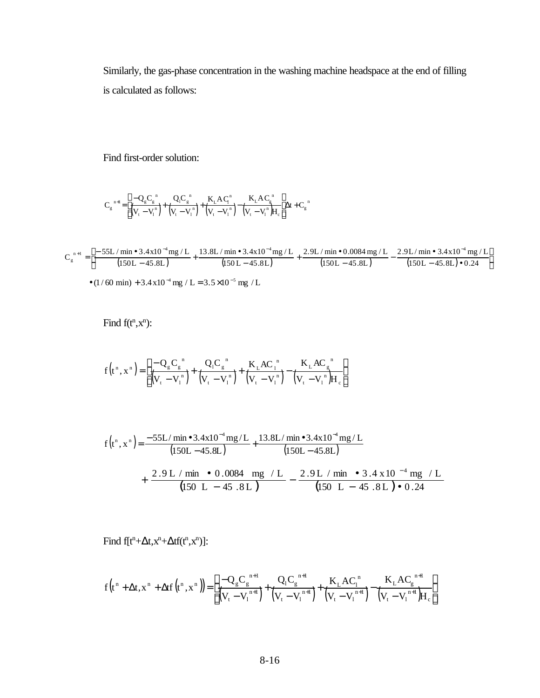Similarly, the gas-phase concentration in the washing machine headspace at the end of filling is calculated as follows:

Find first-order solution:

$$
C_g^{\;\;n+l} \!=\!\! \left[ \frac{-Q_g C_g^{\;\;n}}{\left(V_t-V_l^{\;\;n}\right)} \!\!+\! \frac{Q_l C_g^{\;\;n}}{\left(V_t-V_l^{\;\;n}\right)} \!\!+\! \frac{K_L A \, C_l^{\;\;n}}{\left(V_t-V_l^{\;\;n}\right)} \!\!-\! \frac{K_L A \, C_g^{\;\;n}}{\left(V_t-V_l^{\;\;n}\right) \! \!+ \! \!A_c}\right] \!\!\! \Delta t + C_g^{\;\;n}
$$

$$
C_{g}^{n+1} = \left[ \frac{-55L / \min \bullet 3.4 \times 10^{-4} \text{mg} / L}{(150L - 45.8L)} + \frac{13.8L / \min \bullet 3.4 \times 10^{-4} \text{mg} / L}{(150L - 45.8L)} + \frac{2.9L / \min \bullet 0.0084 \text{mg} / L}{(150L - 45.8L)} - \frac{2.9L / \min \bullet 3.4 \times 10^{-4} \text{mg} / L}{(150L - 45.8L) \bullet 0.24} \right]
$$
  
\n•  $(1/60 \text{ min}) + 3.4 \times 10^{-4} \text{ mg} / L = 3.5 \times 10^{-5} \text{ mg} / L$ 

Find  $f(t^n, x^n)$ :

$$
f(t^n, x^n) = \left[ \frac{-Q_g C_g^{n}}{(V_t - V_l^n)} + \frac{Q_l C_g^{n}}{(V_t - V_l^n)} + \frac{K_L A C_l^{n}}{(V_t - V_l^n)} - \frac{K_L A C_g^{n}}{(V_t - V_l^n)H_c} \right]
$$

$$
f(t^{n}, x^{n}) = \frac{-55L/\text{min} \cdot 3.4 \times 10^{-4} \text{mg/L}}{(150L - 45.8L)} + \frac{13.8L/\text{min} \cdot 3.4 \times 10^{-4} \text{mg/L}}{(150L - 45.8L)}
$$
  
+ 
$$
\frac{2.9 L/\text{min} \cdot 0.0084 \text{mg/L}}{(150 L - 45.8L)} - \frac{2.9 L/\text{min} \cdot 3.4 \times 10^{-4} \text{mg/L}}{(150 L - 45.8L) \cdot 0.24}
$$

Find  $f[t^n + \Delta t, x^n + \Delta t f(t^n, x^n)]$ :

$$
f(t^n+\Delta t,x^n+\Delta t f(t^n,x^n)) = \left[\frac{-Q_g C_g^{n+1}}{\left(V_t-V_l^{n+1}\right)}+\frac{Q_l C_g^{n+1}}{\left(V_t-V_l^{n+1}\right)}+\frac{K_L A C_l^n}{\left(V_t-V_l^{n+1}\right)}-\frac{K_L A C_g^{n+1}}{\left(V_t-V_l^{n+1}\right)H_c}\right]
$$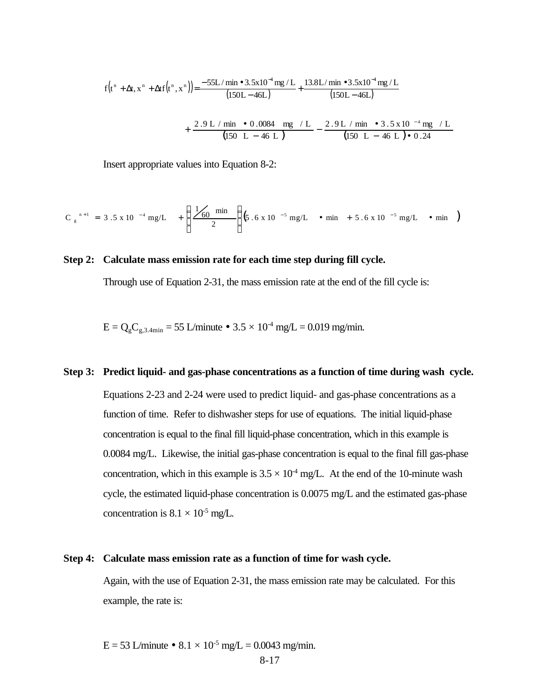$$
f(t^{n} + \Delta t, x^{n} + \Delta t f(t^{n}, x^{n})) = \frac{-55L/\min \bullet 3.5 \times 10^{-4} \text{ mg} / L}{(150L - 46L)} + \frac{13.8L/\min \bullet 3.5 \times 10^{-4} \text{ mg} / L}{(150L - 46L)}
$$
  
+ 
$$
\frac{2.9 L/\min \bullet 0.0084 \text{ mg} / L}{(150 L - 46 L)} - \frac{2.9 L/\min \bullet 3.5 \times 10^{-4} \text{ mg} / L}{(150 L - 46 L) \bullet 0.24}
$$

Insert appropriate values into Equation 8-2:

$$
C_{g}^{n+1} = 3.5 \times 10^{-4} \text{ mg/L} + \left(\frac{1}{60} \frac{\text{min}}{2}\right) \left(5.6 \times 10^{-5} \text{ mg/L} \cdot \text{min} + 5.6 \times 10^{-5} \text{ mg/L} \cdot \text{min}\right)
$$

#### **Step 2: Calculate mass emission rate for each time step during fill cycle.**

Through use of Equation 2-31, the mass emission rate at the end of the fill cycle is:

$$
E = Q_g C_{g,3.4\text{min}} = 55
$$
 L/minute • 3.5 × 10<sup>-4</sup> mg/L = 0.019 mg/min.

### **Step 3: Predict liquid- and gas-phase concentrations as a function of time during wash cycle.**

Equations 2-23 and 2-24 were used to predict liquid- and gas-phase concentrations as a function of time. Refer to dishwasher steps for use of equations. The initial liquid-phase concentration is equal to the final fill liquid-phase concentration, which in this example is 0.0084 mg/L. Likewise, the initial gas-phase concentration is equal to the final fill gas-phase concentration, which in this example is  $3.5 \times 10^4$  mg/L. At the end of the 10-minute wash cycle, the estimated liquid-phase concentration is 0.0075 mg/L and the estimated gas-phase concentration is  $8.1 \times 10^{-5}$  mg/L.

#### **Step 4: Calculate mass emission rate as a function of time for wash cycle.**

Again, with the use of Equation 2-31, the mass emission rate may be calculated. For this example, the rate is:

E = 53 L/minute •  $8.1 \times 10^{-5}$  mg/L = 0.0043 mg/min.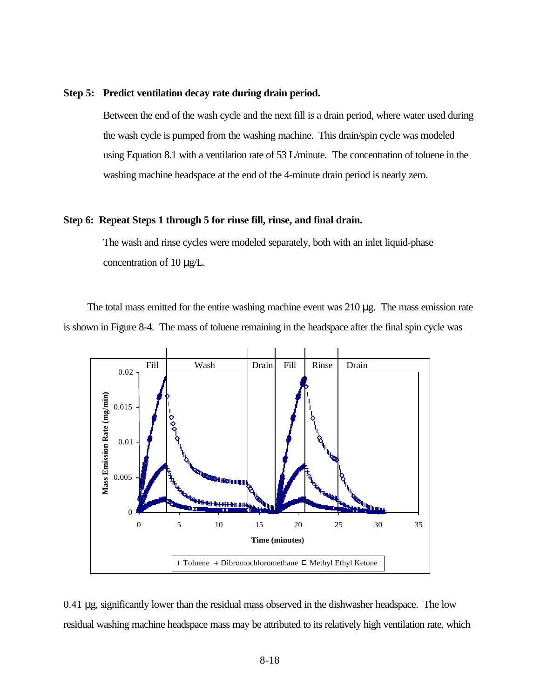#### **Step 5: Predict ventilation decay rate during drain period.**

Between the end of the wash cycle and the next fill is a drain period, where water used during the wash cycle is pumped from the washing machine. This drain/spin cycle was modeled using Equation 8.1 with a ventilation rate of 53 L/minute. The concentration of toluene in the washing machine headspace at the end of the 4-minute drain period is nearly zero.

#### **Step 6: Repeat Steps 1 through 5 for rinse fill, rinse, and final drain.**

The wash and rinse cycles were modeled separately, both with an inlet liquid-phase concentration of 10 μg/L.

The total mass emitted for the entire washing machine event was  $210 \mu$ g. The mass emission rate is shown in Figure 8-4. The mass of toluene remaining in the headspace after the final spin cycle was



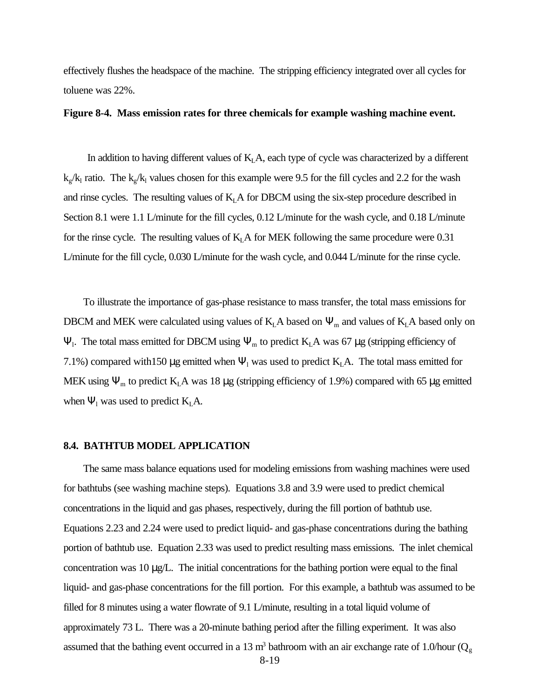effectively flushes the headspace of the machine. The stripping efficiency integrated over all cycles for toluene was 22%.

### **Figure 8-4. Mass emission rates for three chemicals for example washing machine event.**

In addition to having different values of  $K<sub>L</sub>A$ , each type of cycle was characterized by a different  $k_g/k_l$  ratio. The  $k_g/k_l$  values chosen for this example were 9.5 for the fill cycles and 2.2 for the wash and rinse cycles. The resulting values of  $K<sub>L</sub>A$  for DBCM using the six-step procedure described in Section 8.1 were 1.1 L/minute for the fill cycles, 0.12 L/minute for the wash cycle, and 0.18 L/minute for the rinse cycle. The resulting values of  $K<sub>L</sub>A$  for MEK following the same procedure were 0.31 L/minute for the fill cycle, 0.030 L/minute for the wash cycle, and 0.044 L/minute for the rinse cycle.

To illustrate the importance of gas-phase resistance to mass transfer, the total mass emissions for DBCM and MEK were calculated using values of  $K<sub>L</sub>A$  based on  $\Psi_m$  and values of  $K<sub>L</sub>A$  based only on  $\Psi$ <sub>1</sub>. The total mass emitted for DBCM using  $\Psi$ <sub>m</sub> to predict K<sub>L</sub>A was 67 μg (stripping efficiency of 7.1%) compared with 150  $\mu$ g emitted when  $\Psi_1$  was used to predict K<sub>L</sub>A. The total mass emitted for MEK using  $\Psi_m$  to predict K<sub>L</sub>A was 18 μg (stripping efficiency of 1.9%) compared with 65 μg emitted when  $\Psi_1$  was used to predict  $K_L A$ .

#### **8.4. BATHTUB MODEL APPLICATION**

The same mass balance equations used for modeling emissions from washing machines were used for bathtubs (see washing machine steps). Equations 3.8 and 3.9 were used to predict chemical concentrations in the liquid and gas phases, respectively, during the fill portion of bathtub use. Equations 2.23 and 2.24 were used to predict liquid- and gas-phase concentrations during the bathing portion of bathtub use. Equation 2.33 was used to predict resulting mass emissions. The inlet chemical concentration was 10 μg/L. The initial concentrations for the bathing portion were equal to the final liquid- and gas-phase concentrations for the fill portion. For this example, a bathtub was assumed to be filled for 8 minutes using a water flowrate of 9.1 L/minute, resulting in a total liquid volume of approximately 73 L. There was a 20-minute bathing period after the filling experiment. It was also assumed that the bathing event occurred in a 13 m<sup>3</sup> bathroom with an air exchange rate of 1.0/hour ( $Q<sub>g</sub>$ )